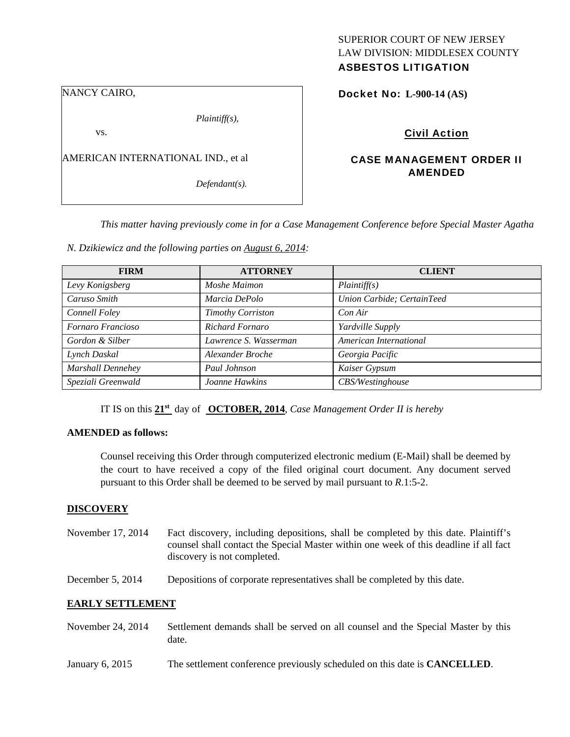# SUPERIOR COURT OF NEW JERSEY LAW DIVISION: MIDDLESEX COUNTY

## ASBESTOS LITIGATION

NANCY CAIRO,

*Plaintiff(s),* 

vs.

AMERICAN INTERNATIONAL IND., et al

*Defendant(s).* 

Docket No: **L-900-14 (AS)** 

Civil Action

## CASE MANAGEMENT ORDER II AMENDED

*This matter having previously come in for a Case Management Conference before Special Master Agatha* 

*N. Dzikiewicz and the following parties on August 6, 2014:* 

| <b>FIRM</b>        | <b>ATTORNEY</b>          | <b>CLIENT</b>              |
|--------------------|--------------------------|----------------------------|
| Levy Konigsberg    | Moshe Maimon             | Plaintiff(s)               |
| Caruso Smith       | Marcia DePolo            | Union Carbide; CertainTeed |
| Connell Foley      | <b>Timothy Corriston</b> | Con Air                    |
| Fornaro Francioso  | <b>Richard Fornaro</b>   | Yardville Supply           |
| Gordon & Silber    | Lawrence S. Wasserman    | American International     |
| Lynch Daskal       | Alexander Broche         | Georgia Pacific            |
| Marshall Dennehey  | Paul Johnson             | Kaiser Gypsum              |
| Speziali Greenwald | Joanne Hawkins           | CBS/Westinghouse           |

IT IS on this **21st** day of **OCTOBER, 2014**, *Case Management Order II is hereby* 

### **AMENDED as follows:**

Counsel receiving this Order through computerized electronic medium (E-Mail) shall be deemed by the court to have received a copy of the filed original court document. Any document served pursuant to this Order shall be deemed to be served by mail pursuant to *R*.1:5-2.

## **DISCOVERY**

- November 17, 2014 Fact discovery, including depositions, shall be completed by this date. Plaintiff's counsel shall contact the Special Master within one week of this deadline if all fact discovery is not completed.
- December 5, 2014 Depositions of corporate representatives shall be completed by this date.

## **EARLY SETTLEMENT**

- November 24, 2014 Settlement demands shall be served on all counsel and the Special Master by this date.
- January 6, 2015 The settlement conference previously scheduled on this date is **CANCELLED**.